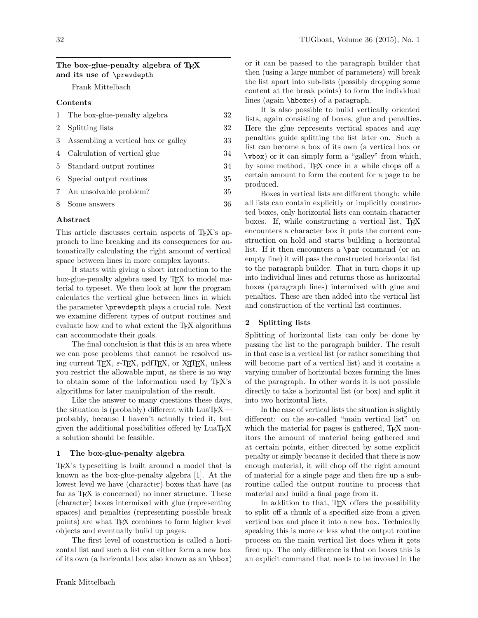# The box-glue-penalty algebra of T<sub>F</sub>X and its use of \prevdepth

Frank Mittelbach

### Contents

| 1              | The box-glue-penalty algebra        | 32 |
|----------------|-------------------------------------|----|
| $\overline{2}$ | Splitting lists                     | 32 |
| 3              | Assembling a vertical box or galley | 33 |
| 4              | Calculation of vertical glue        | 34 |
| 5              | Standard output routines            | 34 |
| 6              | Special output routines             | 35 |
|                | 7 An unsolvable problem?            | 35 |
| 8              | Some answers                        | 36 |

### Abstract

This article discusses certain aspects of T<sub>E</sub>X's approach to line breaking and its consequences for automatically calculating the right amount of vertical space between lines in more complex layouts.

It starts with giving a short introduction to the box-glue-penalty algebra used by T<sub>E</sub>X to model material to typeset. We then look at how the program calculates the vertical glue between lines in which the parameter \prevdepth plays a crucial role. Next we examine different types of output routines and evaluate how and to what extent the TEX algorithms can accommodate their goals.

The final conclusion is that this is an area where we can pose problems that cannot be resolved using current TEX,  $\varepsilon$ -TEX, pdfTEX, or X<sub>T</sub>TEX, unless you restrict the allowable input, as there is no way to obtain some of the information used by TEX's algorithms for later manipulation of the result.

Like the answer to many questions these days, the situation is (probably) different with  $\text{LuaTrX}$ probably, because I haven't actually tried it, but given the additional possibilities offered by LuaT<sub>EX</sub> a solution should be feasible.

# 1 The box-glue-penalty algebra

TEX's typesetting is built around a model that is known as the box-glue-penalty algebra [1]. At the lowest level we have (character) boxes that have (as far as T<sub>E</sub>X is concerned) no inner structure. These (character) boxes intermixed with glue (representing spaces) and penalties (representing possible break points) are what TEX combines to form higher level objects and eventually build up pages.

The first level of construction is called a horizontal list and such a list can either form a new box of its own (a horizontal box also known as an \hbox) or it can be passed to the paragraph builder that then (using a large number of parameters) will break the list apart into sub-lists (possibly dropping some content at the break points) to form the individual lines (again \hboxes) of a paragraph.

It is also possible to build vertically oriented lists, again consisting of boxes, glue and penalties. Here the glue represents vertical spaces and any penalties guide splitting the list later on. Such a list can become a box of its own (a vertical box or \vbox) or it can simply form a "galley" from which, by some method, TEX once in a while chops off a certain amount to form the content for a page to be produced.

Boxes in vertical lists are different though: while all lists can contain explicitly or implicitly constructed boxes, only horizontal lists can contain character boxes. If, while constructing a vertical list, T<sub>E</sub>X encounters a character box it puts the current construction on hold and starts building a horizontal list. If it then encounters a \par command (or an empty line) it will pass the constructed horizontal list to the paragraph builder. That in turn chops it up into individual lines and returns those as horizontal boxes (paragraph lines) intermixed with glue and penalties. These are then added into the vertical list and construction of the vertical list continues.

#### 2 Splitting lists

Splitting of horizontal lists can only be done by passing the list to the paragraph builder. The result in that case is a vertical list (or rather something that will become part of a vertical list) and it contains a varying number of horizontal boxes forming the lines of the paragraph. In other words it is not possible directly to take a horizontal list (or box) and split it into two horizontal lists.

In the case of vertical lists the situation is slightly different: on the so-called "main vertical list" on which the material for pages is gathered, T<sub>EX</sub> monitors the amount of material being gathered and at certain points, either directed by some explicit penalty or simply because it decided that there is now enough material, it will chop off the right amount of material for a single page and then fire up a subroutine called the output routine to process that material and build a final page from it.

In addition to that, TEX offers the possibility to split off a chunk of a specified size from a given vertical box and place it into a new box. Technically speaking this is more or less what the output routine process on the main vertical list does when it gets fired up. The only difference is that on boxes this is an explicit command that needs to be invoked in the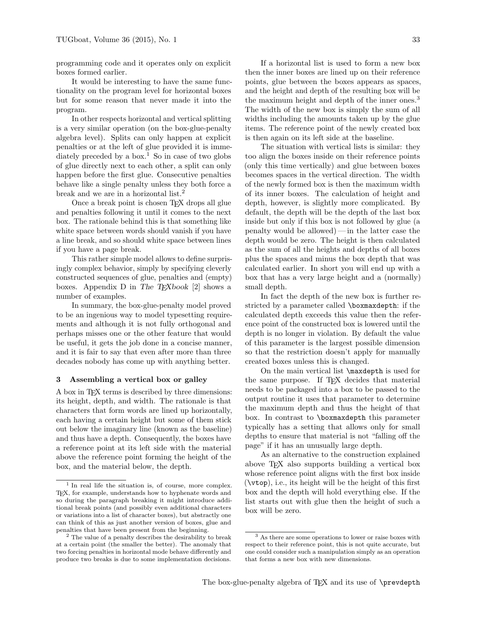programming code and it operates only on explicit boxes formed earlier.

It would be interesting to have the same functionality on the program level for horizontal boxes but for some reason that never made it into the program.

In other respects horizontal and vertical splitting is a very similar operation (on the box-glue-penalty algebra level). Splits can only happen at explicit penalties or at the left of glue provided it is immediately preceded by a box.<sup>1</sup> So in case of two globs of glue directly next to each other, a split can only happen before the first glue. Consecutive penalties behave like a single penalty unless they both force a break and we are in a horizontal list.<sup>2</sup>

Once a break point is chosen TEX drops all glue and penalties following it until it comes to the next box. The rationale behind this is that something like white space between words should vanish if you have a line break, and so should white space between lines if you have a page break.

This rather simple model allows to define surprisingly complex behavior, simply by specifying cleverly constructed sequences of glue, penalties and (empty) boxes. Appendix D in The TEXbook [2] shows a number of examples.

In summary, the box-glue-penalty model proved to be an ingenious way to model typesetting requirements and although it is not fully orthogonal and perhaps misses one or the other feature that would be useful, it gets the job done in a concise manner, and it is fair to say that even after more than three decades nobody has come up with anything better.

#### 3 Assembling a vertical box or galley

A box in TEX terms is described by three dimensions: its height, depth, and width. The rationale is that characters that form words are lined up horizontally, each having a certain height but some of them stick out below the imaginary line (known as the baseline) and thus have a depth. Consequently, the boxes have a reference point at its left side with the material above the reference point forming the height of the box, and the material below, the depth.

If a horizontal list is used to form a new box then the inner boxes are lined up on their reference points, glue between the boxes appears as spaces, and the height and depth of the resulting box will be the maximum height and depth of the inner ones.<sup>3</sup> The width of the new box is simply the sum of all widths including the amounts taken up by the glue items. The reference point of the newly created box is then again on its left side at the baseline.

The situation with vertical lists is similar: they too align the boxes inside on their reference points (only this time vertically) and glue between boxes becomes spaces in the vertical direction. The width of the newly formed box is then the maximum width of its inner boxes. The calculation of height and depth, however, is slightly more complicated. By default, the depth will be the depth of the last box inside but only if this box is not followed by glue (a penalty would be allowed)— in the latter case the depth would be zero. The height is then calculated as the sum of all the heights and depths of all boxes plus the spaces and minus the box depth that was calculated earlier. In short you will end up with a box that has a very large height and a (normally) small depth.

In fact the depth of the new box is further restricted by a parameter called \boxmaxdepth: if the calculated depth exceeds this value then the reference point of the constructed box is lowered until the depth is no longer in violation. By default the value of this parameter is the largest possible dimension so that the restriction doesn't apply for manually created boxes unless this is changed.

On the main vertical list \maxdepth is used for the same purpose. If T<sub>E</sub>X decides that material needs to be packaged into a box to be passed to the output routine it uses that parameter to determine the maximum depth and thus the height of that box. In contrast to \boxmaxdepth this parameter typically has a setting that allows only for small depths to ensure that material is not "falling off the page" if it has an unusually large depth.

As an alternative to the construction explained above TEX also supports building a vertical box whose reference point aligns with the first box inside (\vtop), i.e., its height will be the height of this first box and the depth will hold everything else. If the list starts out with glue then the height of such a box will be zero.

<sup>1</sup> In real life the situation is, of course, more complex. TEX, for example, understands how to hyphenate words and so during the paragraph breaking it might introduce additional break points (and possibly even additional characters or variations into a list of character boxes), but abstractly one can think of this as just another version of boxes, glue and penalties that have been present from the beginning.

<sup>2</sup> The value of a penalty describes the desirability to break at a certain point (the smaller the better). The anomaly that two forcing penalties in horizontal mode behave differently and produce two breaks is due to some implementation decisions.

<sup>3</sup> As there are some operations to lower or raise boxes with respect to their reference point, this is not quite accurate, but one could consider such a manipulation simply as an operation that forms a new box with new dimensions.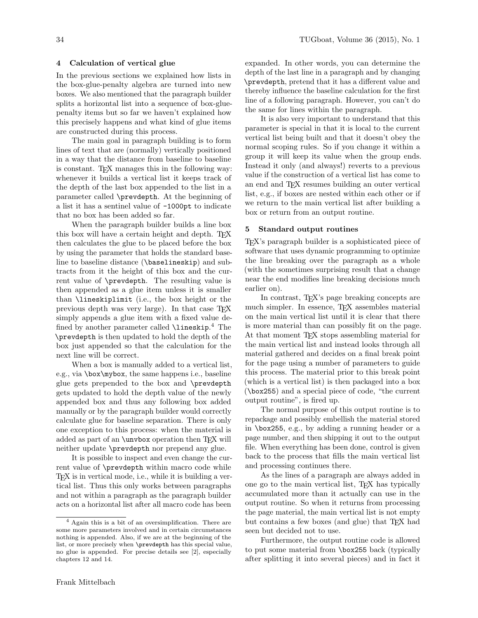## 4 Calculation of vertical glue

In the previous sections we explained how lists in the box-glue-penalty algebra are turned into new boxes. We also mentioned that the paragraph builder splits a horizontal list into a sequence of box-gluepenalty items but so far we haven't explained how this precisely happens and what kind of glue items are constructed during this process.

The main goal in paragraph building is to form lines of text that are (normally) vertically positioned in a way that the distance from baseline to baseline is constant. TEX manages this in the following way: whenever it builds a vertical list it keeps track of the depth of the last box appended to the list in a parameter called \prevdepth. At the beginning of a list it has a sentinel value of -1000pt to indicate that no box has been added so far.

When the paragraph builder builds a line box this box will have a certain height and depth. T<sub>E</sub>X then calculates the glue to be placed before the box by using the parameter that holds the standard baseline to baseline distance (\baselineskip) and subtracts from it the height of this box and the current value of \prevdepth. The resulting value is then appended as a glue item unless it is smaller than \lineskiplimit (i.e., the box height or the previous depth was very large). In that case TEX simply appends a glue item with a fixed value defined by another parameter called **\lineskip**.<sup>4</sup> The \prevdepth is then updated to hold the depth of the box just appended so that the calculation for the next line will be correct.

When a box is manually added to a vertical list, e.g., via \box\mybox, the same happens i.e., baseline glue gets prepended to the box and \prevdepth gets updated to hold the depth value of the newly appended box and thus any following box added manually or by the paragraph builder would correctly calculate glue for baseline separation. There is only one exception to this process: when the material is added as part of an **\unvbox** operation then T<sub>EX</sub> will neither update \prevdepth nor prepend any glue.

It is possible to inspect and even change the current value of \prevdepth within macro code while TEX is in vertical mode, i.e., while it is building a vertical list. Thus this only works between paragraphs and not within a paragraph as the paragraph builder acts on a horizontal list after all macro code has been

expanded. In other words, you can determine the depth of the last line in a paragraph and by changing \prevdepth, pretend that it has a different value and thereby influence the baseline calculation for the first line of a following paragraph. However, you can't do the same for lines within the paragraph.

It is also very important to understand that this parameter is special in that it is local to the current vertical list being built and that it doesn't obey the normal scoping rules. So if you change it within a group it will keep its value when the group ends. Instead it only (and always!) reverts to a previous value if the construction of a vertical list has come to an end and TEX resumes building an outer vertical list, e.g., if boxes are nested within each other or if we return to the main vertical list after building a box or return from an output routine.

### 5 Standard output routines

TEX's paragraph builder is a sophisticated piece of software that uses dynamic programming to optimize the line breaking over the paragraph as a whole (with the sometimes surprising result that a change near the end modifies line breaking decisions much earlier on).

In contrast, TEX's page breaking concepts are much simpler. In essence, TEX assembles material on the main vertical list until it is clear that there is more material than can possibly fit on the page. At that moment T<sub>E</sub>X stops assembling material for the main vertical list and instead looks through all material gathered and decides on a final break point for the page using a number of parameters to guide this process. The material prior to this break point (which is a vertical list) is then packaged into a box (\box255) and a special piece of code, "the current output routine", is fired up.

The normal purpose of this output routine is to repackage and possibly embellish the material stored in \box255, e.g., by adding a running header or a page number, and then shipping it out to the output file. When everything has been done, control is given back to the process that fills the main vertical list and processing continues there.

As the lines of a paragraph are always added in one go to the main vertical list, TEX has typically accumulated more than it actually can use in the output routine. So when it returns from processing the page material, the main vertical list is not empty but contains a few boxes (and glue) that TEX had seen but decided not to use.

Furthermore, the output routine code is allowed to put some material from \box255 back (typically after splitting it into several pieces) and in fact it

<sup>4</sup> Again this is a bit of an oversimplification. There are some more parameters involved and in certain circumstances nothing is appended. Also, if we are at the beginning of the list, or more precisely when \prevdepth has this special value, no glue is appended. For precise details see [2], especially chapters 12 and 14.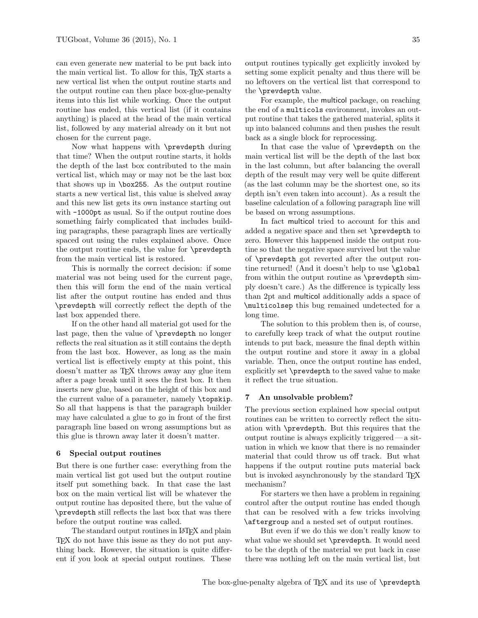can even generate new material to be put back into the main vertical list. To allow for this, TEX starts a new vertical list when the output routine starts and the output routine can then place box-glue-penalty items into this list while working. Once the output routine has ended, this vertical list (if it contains anything) is placed at the head of the main vertical list, followed by any material already on it but not chosen for the current page.

Now what happens with \prevdepth during that time? When the output routine starts, it holds the depth of the last box contributed to the main vertical list, which may or may not be the last box that shows up in \box255. As the output routine starts a new vertical list, this value is shelved away and this new list gets its own instance starting out with -1000pt as usual. So if the output routine does something fairly complicated that includes building paragraphs, these paragraph lines are vertically spaced out using the rules explained above. Once the output routine ends, the value for \prevdepth from the main vertical list is restored.

This is normally the correct decision: if some material was not being used for the current page, then this will form the end of the main vertical list after the output routine has ended and thus \prevdepth will correctly reflect the depth of the last box appended there.

If on the other hand all material got used for the last page, then the value of \prevdepth no longer reflects the real situation as it still contains the depth from the last box. However, as long as the main vertical list is effectively empty at this point, this doesn't matter as TEX throws away any glue item after a page break until it sees the first box. It then inserts new glue, based on the height of this box and the current value of a parameter, namely \topskip. So all that happens is that the paragraph builder may have calculated a glue to go in front of the first paragraph line based on wrong assumptions but as this glue is thrown away later it doesn't matter.

#### 6 Special output routines

But there is one further case: everything from the main vertical list got used but the output routine itself put something back. In that case the last box on the main vertical list will be whatever the output routine has deposited there, but the value of \prevdepth still reflects the last box that was there before the output routine was called.

The standard output routines in LAT<sub>E</sub>X and plain TEX do not have this issue as they do not put anything back. However, the situation is quite different if you look at special output routines. These

output routines typically get explicitly invoked by setting some explicit penalty and thus there will be no leftovers on the vertical list that correspond to the \prevdepth value.

For example, the multicol package, on reaching the end of a multicols environment, invokes an output routine that takes the gathered material, splits it up into balanced columns and then pushes the result back as a single block for reprocessing.

In that case the value of \prevdepth on the main vertical list will be the depth of the last box in the last column, but after balancing the overall depth of the result may very well be quite different (as the last column may be the shortest one, so its depth isn't even taken into account). As a result the baseline calculation of a following paragraph line will be based on wrong assumptions.

In fact multicol tried to account for this and added a negative space and then set \prevdepth to zero. However this happened inside the output routine so that the negative space survived but the value of \prevdepth got reverted after the output routine returned! (And it doesn't help to use \global from within the output routine as \prevdepth simply doesn't care.) As the difference is typically less than 2pt and multicol additionally adds a space of \multicolsep this bug remained undetected for a long time.

The solution to this problem then is, of course, to carefully keep track of what the output routine intends to put back, measure the final depth within the output routine and store it away in a global variable. Then, once the output routine has ended, explicitly set \prevdepth to the saved value to make it reflect the true situation.

#### 7 An unsolvable problem?

The previous section explained how special output routines can be written to correctly reflect the situation with \prevdepth. But this requires that the output routine is always explicitly triggered — a situation in which we know that there is no remainder material that could throw us off track. But what happens if the output routine puts material back but is invoked asynchronously by the standard T<sub>E</sub>X mechanism?

For starters we then have a problem in regaining control after the output routine has ended though that can be resolved with a few tricks involving \aftergroup and a nested set of output routines.

But even if we do this we don't really know to what value we should set \prevdepth. It would need to be the depth of the material we put back in case there was nothing left on the main vertical list, but